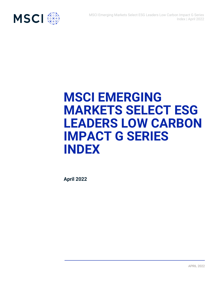

# **MSCI EMERGING MARKETS SELECT ESG LEADERS LOW CARBON IMPACT G SERIES INDEX**

**April 2022**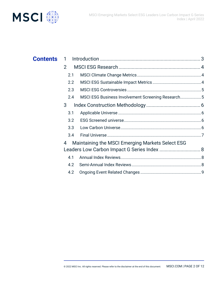



| <b>Contents</b> | 1             |                                                  |  |
|-----------------|---------------|--------------------------------------------------|--|
|                 | $\mathcal{P}$ |                                                  |  |
| 2.1             |               |                                                  |  |
|                 | 2.2           |                                                  |  |
|                 | 2.3           |                                                  |  |
|                 | 2.4           |                                                  |  |
|                 | 3             |                                                  |  |
|                 | 3.1           |                                                  |  |
|                 | 3.2           |                                                  |  |
|                 | 3.3           |                                                  |  |
|                 | 3.4           |                                                  |  |
|                 | 4             | Maintaining the MSCI Emerging Markets Select ESG |  |
|                 |               | Leaders Low Carbon Impact G Series Index  8      |  |
|                 | 4.1           |                                                  |  |
|                 | 4.2           |                                                  |  |
|                 | 4.2           |                                                  |  |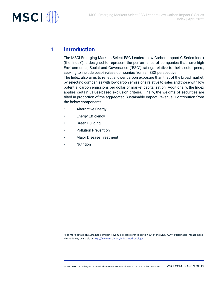

### **1 Introduction**

The MSCI Emerging Markets Select ESG Leaders Low Carbon Impact G Series Index (the 'Index') is designed to represent the performance of companies that have high Environmental, Social and Governance ("ESG") ratings relative to their sector peers, seeking to include best-in-class companies from an ESG perspective. The Index also aims to reflect a lower carbon exposure than that of the broad market,

by selecting companies with low carbon emissions relative to sales and those with low potential carbon emissions per dollar of market capitalization. Additionally, the Index applies certain values-based exclusion criteria. Finally, the weights of securities are tilted in proportion of the aggregated Sustainable Impact Revenue<sup>1</sup> Contribution from the below components:

- **Alternative Energy**
- Energy Efficiency
- Green Building
- Pollution Prevention
- Major Disease Treatment
- **Nutrition**

<sup>1</sup> For more details on Sustainable Impact Revenue, please refer to section 2.4 of the MSCI ACWI Sustainable Impact Index Methodology available a[t http://www.msci.com/index-methodology.](http://www.msci.com/index-methodology)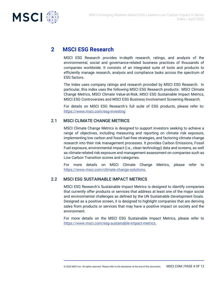

### **2 MSCI ESG Research**

MSCI ESG Research provides in-depth research, ratings, and analysis of the environmental, social and governance-related business practices of thousands of companies worldwide. It consists of an integrated suite of tools and products to efficiently manage research, analysis and compliance tasks across the spectrum of ESG factors.

The Index uses company ratings and research provided by MSCI ESG Research. In particular, this index uses the following MSCI ESG Research products: MSCI Climate Change Metrics, MSCI Climate Value-at-Risk, MSCI ESG Sustainable Impact Metrics, MSCI ESG Controversies and MSCI ESG Business Involvement Screening Research.

For details on MSCI ESG Research's full suite of ESG products, please refer to: <https://www.msci.com/esg-investing>

### 2.1 MSCI CLIMATE CHANGE METRICS

MSCI Climate Change Metrics is designed to support investors seeking to achieve a range of objectives, including measuring and reporting on climate risk exposure, implementing low carbon and fossil fuel-free strategies, and factoring climate change research into their risk management processes. It provides Carbon Emissions, Fossil Fuel exposure, environmental impact (i.e., clean technology) data and screens, as well as climate-related risk exposure and management assessment on companies such as Low Carbon Transition scores and categories.

For more details on MSCI Climate Change Metrics, please refer to [https://www.msci.com/climate-change-solutions.](https://www.msci.com/climate-change-solutions)

### 2.2 MSCI ESG SUSTAINABLE IMPACT METRICS

MSCI ESG Research's Sustainable Impact Metrics is designed to identify companies that currently offer products or services that address at least one of the major social and environmental challenges as defined by the UN Sustainable Development Goals. Designed as a positive screen, it is designed to highlight companies that are deriving sales from products or services that may have a positive impact on society and the environment.

For more details on the MSCI ESG Sustainable Impact Metrics, please refer to [https://www.msci.com/esg-sustainable-impact-metrics.](https://www.msci.com/esg-sustainable-impact-metrics)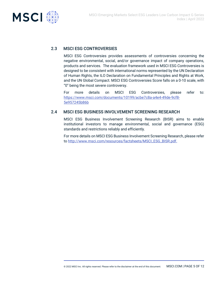

### 2.3 MSCI ESG CONTROVERSIES

MSCI ESG Controversies provides assessments of controversies concerning the negative environmental, social, and/or governance impact of company operations, products and services. The evaluation framework used in MSCI ESG Controversies is designed to be consistent with international norms represented by the UN Declaration of Human Rights, the ILO Declaration on Fundamental Principles and Rights at Work, and the UN Global Compact. MSCI ESG Controversies Score falls on a 0-10 scale, with "0" being the most severe controversy.

For more details on MSCI ESG Controversies, please refer to: [https://www.msci.com/documents/10199/acbe7c8a-a4e4-49de-9cf8-](https://www.msci.com/documents/10199/acbe7c8a-a4e4-49de-9cf8-5e957245b86b) [5e957245b86b](https://www.msci.com/documents/10199/acbe7c8a-a4e4-49de-9cf8-5e957245b86b)

### 2.4 MSCI ESG BUSINESS INVOLVEMENT SCREENING RESEARCH

MSCI ESG Business Involvement Screening Research (BISR) aims to enable institutional investors to manage environmental, social and governance (ESG) standards and restrictions reliably and efficiently.

For more details on MSCI ESG Business Involvement Screening Research, please refer to [http://www.msci.com/resources/factsheets/MSCI\\_ESG\\_BISR.pdf.](http://www.msci.com/resources/factsheets/MSCI_ESG_BISR.pdf)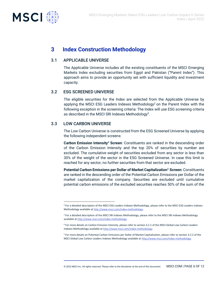



### **3 Index Construction Methodology**

#### 3.1 APPLICABLE UNIVERSE

The Applicable Universe includes all the existing constituents of the MSCI Emerging Markets Index excluding securities from Egypt and Pakistan ("Parent Index"). This approach aims to provide an opportunity set with sufficient liquidity and investment capacity.

#### 3.2 ESG SCREENED UNIVERSE

The eligible securities for the Index are selected from the Applicable Universe by applying the MSCI ESG Leaders Indexes Methodology<sup>2</sup> on the Parent Index with the following exception in the screening criteria: The Index will use ESG screening criteria as described in the MSCI SRI Indexes Methodology $^3$ .

### 3.3 LOW CARBON UNIVERSE

The Low Carbon Universe is constructed from the ESG Screened Universe by applying the following independent screens:

**Carbon Emission Intensity**<sup>4</sup> **Screen**: Constituents are ranked in the descending order of the Carbon Emission Intensity and the top 20% of securities by number are excluded. The cumulative weight of securities excluded from any sector is less than 30% of the weight of the sector in the ESG Screened Universe. In case this limit is reached for any sector, no further securities from that sector are excluded.

**Potential Carbon Emissions per Dollar of Market Capitalization**<sup>5</sup> **Screen:** Constituents are ranked in the descending order of the Potential Carbon Emissions per Dollar of the market capitalization of the company. Securities are excluded until cumulative potential carbon emissions of the excluded securities reaches 50% of the sum of the

<sup>&</sup>lt;sup>2</sup> For a detailed description of the MSCI ESG Leaders Indexes Methodology, please refer to the MSCI ESG Leaders Indexes Methodology available a[t http://www.msci.com/index-methodology.](http://www.msci.com/index-methodology)

<sup>&</sup>lt;sup>3</sup> For a detailed description of the MSCI SRI Indexes Methodology, please refer to the MSCI SRI Indexes Methodology available a[t http://www.msci.com/index-methodology.](http://www.msci.com/index-methodology)

<sup>4</sup> For more details on Carbon Emission Intensity, please refer to section 3.2.1 of the MSCI Global Low Carbon Leaders Indexes Methodology available a[t http://www.msci.com/index-methodology.](http://www.msci.com/index-methodology)

<sup>5</sup> For more details on Potential Carbon Emissions per Dollar of Market Capitalization, please refer to section 3.2.2 of the MSCI Global Low Carbon Leaders Indexes Methodology available a[t http://www.msci.com/index-methodology.](http://www.msci.com/index-methodology)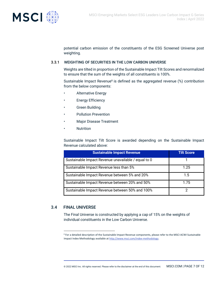

potential carbon emission of the constituents of the ESG Screened Universe post weighting.

#### 3.3.1 WEIGHTING OF SECURITIES IN THE LOW CARBON UNIVERSE

Weights are tilted in proportion of the Sustainable Impact Tilt Scores and renormalized to ensure that the sum of the weights of all constituents is 100%.

Sustainable Impact Revenue<sup>6</sup> is defined as the aggregated revenue (%) contribution from the below components:

- Alternative Energy
- **Energy Efficiency**
- **Green Building**
- Pollution Prevention
- Major Disease Treatment
- Nutrition

Sustainable Impact Tilt Score is awarded depending on the Sustainable Impact Revenue calculated above:

| <b>Sustainable Impact Revenue</b>                   | <b>Tilt Score</b> |
|-----------------------------------------------------|-------------------|
| Sustainable Impact Revenue unavailable / equal to 0 |                   |
| Sustainable Impact Revenue less than 5%             | 1.25              |
| Sustainable Impact Revenue between 5% and 20%       | 1.5               |
| Sustainable Impact Revenue between 20% and 50%      | 1.75              |
| Sustainable Impact Revenue between 50% and 100%     | າ                 |

### 3.4 FINAL UNIVERSE

The Final Universe is constructed by applying a cap of 15% on the weights of individual constituents in the Low Carbon Universe.

<sup>6</sup> For a detailed description of the Sustainable Impact Revenue components, please refer to the MSCI ACWI Sustainable Impact Index Methodology available at http://www.msci.com/index-methodology.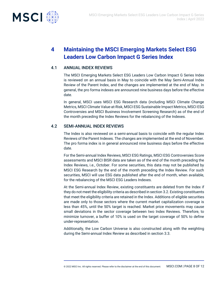

## **4 Maintaining the MSCI Emerging Markets Select ESG Leaders Low Carbon Impact G Series Index**

### 4.1 ANNUAL INDEX REVIEWS

The MSCI Emerging Markets Select ESG Leaders Low Carbon Impact G Series Index is reviewed on an annual basis in May to coincide with the May Semi-Annual Index Review of the Parent Index, and the changes are implemented at the end of May. In general, the pro forma indexes are announced nine business days before the effective date.

In general, MSCI uses MSCI ESG Research data (including MSCI Climate Change Metrics, MSCI Climate Value-at-Risk, MSCI ESG Sustainable Impact Metrics, MSCI ESG Controversies and MSCI Business Involvement Screening Research) as of the end of the month preceding the Index Reviews for the rebalancing of the Indexes.

### 4.2 SEMI-ANNUAL INDEX REVIEWS

The Index is also reviewed on a semi-annual basis to coincide with the regular Index Reviews of the Parent Indexes. The changes are implemented at the end of November. The pro forma index is in general announced nine business days before the effective date.

For the Semi-annual Index Reviews, MSCI ESG Ratings, MSCI ESG Controversies Score assessments and MSCI BISR data are taken as of the end of the month preceding the Index Reviews, i.e., October. For some securities, this data may not be published by MSCI ESG Research by the end of the month preceding the Index Review. For such securities, MSCI will use ESG data published after the end of month, when available, for the rebalancing of the MSCI ESG Leaders Indexes.

At the Semi-annual Index Review, existing constituents are deleted from the Index if they do not meet the eligibility criteria as described in section 3.2. Existing constituents that meet the eligibility criteria are retained in the Index. Additions of eligible securities are made only to those sectors where the current market capitalization coverage is less than 45%, until the 50% target is reached. Market price movements may cause small deviations in the sector coverage between two Index Reviews. Therefore, to minimize turnover, a buffer of 10% is used on the target coverage of 50% to define under-representation.

Additionally, the Low Carbon Universe is also constructed along with the weighting during the Semi-annual Index Review as described in section 3.3.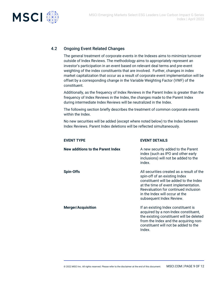

### 4.2 Ongoing Event Related Changes

The general treatment of corporate events in the Indexes aims to minimize turnover outside of Index Reviews. The methodology aims to appropriately represent an investor's participation in an event based on relevant deal terms and pre-event weighting of the index constituents that are involved. Further, changes in index market capitalization that occur as a result of corporate event implementation will be offset by a corresponding change in the Variable Weighting Factor (VWF) of the constituent.

Additionally, as the frequency of Index Reviews in the Parent Index is greater than the frequency of Index Reviews in the Index, the changes made to the Parent Index during intermediate Index Reviews will be neutralized in the Index.

The following section briefly describes the treatment of common corporate events within the Index.

No new securities will be added (except where noted below) to the Index between Index Reviews. Parent Index deletions will be reflected simultaneously.

**EVENT TYPE EVENT DETAILS**

| New additions to the Parent Index | A new security added to the Parent<br>index (such as IPO and other early<br>inclusions) will not be added to the<br>index.                                                                                                                                         |
|-----------------------------------|--------------------------------------------------------------------------------------------------------------------------------------------------------------------------------------------------------------------------------------------------------------------|
| Spin-Offs                         | All securities created as a result of the<br>spin-off of an existing Index<br>constituent will be added to the Index<br>at the time of event implementation.<br>Reevaluation for continued inclusion<br>in the Index will occur at the<br>subsequent Index Review. |
| <b>Merger/Acquisition</b>         | If an existing Index constituent is<br>acquired by a non-Index constituent,<br>the existing constituent will be deleted<br>from the Index and the acquiring non-<br>constituent will not be added to the<br>Index.                                                 |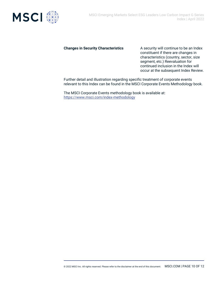

**Changes in Security Characteristics** A security will continue to be an Index constituent if there are changes in characteristics (country, sector, size segment, etc.) Reevaluation for continued inclusion in the Index will occur at the subsequent Index Review.

Further detail and illustration regarding specific treatment of corporate events relevant to this Index can be found in the MSCI Corporate Events Methodology book.

The MSCI Corporate Events methodology book is available at: <https://www.msci.com/index-methodology>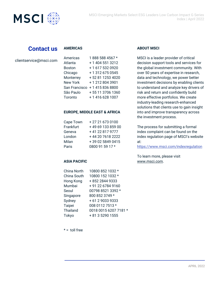

### **Contact us**

### **AMERICAS**

| clientservice@msci.com |  |
|------------------------|--|
|------------------------|--|

| Americas        | 1888 588 4567 *  |
|-----------------|------------------|
| Atlanta         | + 1 404 551 3212 |
| <b>Boston</b>   | +1 617 532 0920  |
| Chicago         | +13126750545     |
| Monterrey       | +52 81 1253 4020 |
| <b>New York</b> | +12128043901     |
| San Francisco   | +14158368800     |
| São Paulo       | +55 11 3706 1360 |
| Toronto         | +14166281007     |

#### **EUROPE, MIDDLE EAST & AFRICA**

| Cape Town | +27216730100      |
|-----------|-------------------|
| Frankfurt | +49 69 133 859 00 |
| Geneva    | +41 22 817 9777   |
| London    | +44 20 7618 2222  |
| Milan     | +39 02 5849 0415  |
| Paris     | 0800 91 59 17 *   |

#### **ASIA PACIFIC**

| <b>China North</b> | 10800 852 1032 *      |
|--------------------|-----------------------|
| China South        | 10800 152 1032 *      |
| Hong Kong          | +852 2844 9333        |
| Mumbai             | +91 22 6784 9160      |
| Seoul              | 00798 8521 3392 *     |
| Singapore          | 800 852 3749 *        |
| Sydney             | + 61 2 9033 9333      |
| Taipei             | 008 0112 7513 *       |
| Thailand           | 0018 0015 6207 7181 * |
| Tokyo              | + 81 3 5290 1555      |
|                    |                       |

### **ABOUT MSCI**

MSCI is a leader provider of critical decision support tools and services for the global investment community. With over 50 years of expertise in research, data and technology, we power better investment decisions by enabling clients to understand and analyze key drivers of risk and return and confidently build more effective portfolios. We create industry-leading research-enhanced solutions that clients use to gain insight into and improve transparency across the investment process.

The process for submitting a formal index complaint can be found on the index regulation page of MSCI's website at:

<https://www.msci.com/indexregulation>

To learn more, please visit [www.msci.com.](https://www.msci.com/)

 $* =$  toll free